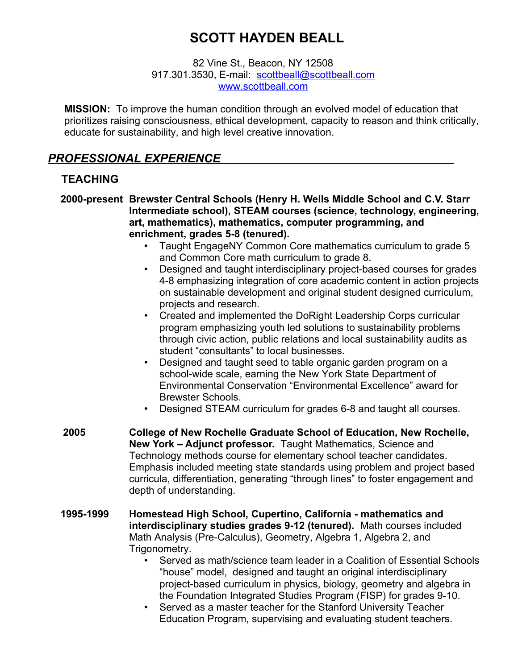# **SCOTT HAYDEN BEALL**

82 Vine St., Beacon, NY 12508 917.301.3530, E-mail: scottbeall@scottbeall.com ww[w .scottbeall.com](http://www.scottbeall.com/)

**MISSION:** To improve the human condition through an evolved model of education that prioritizes raising consciousness, ethical development, capacity to reason and think critically, educate for sustainability, and high level creative innovation.

# *PROFESSIONAL EXPERIENCE*

### **TEACHING**

- **2000-present Brewster Central Schools (Henry H. Wells Middle School and C.V. Starr Intermediate school), STEAM courses (science, technology, engineering, art, mathematics), mathematics, computer programming, and enrichment, grades 5-8 (tenured).** 
	- Taught EngageNY Common Core mathematics curriculum to grade 5 and Common Core math curriculum to grade 8.
	- Designed and taught interdisciplinary project-based courses for grades 4-8 emphasizing integration of core academic content in action projects on sustainable development and original student designed curriculum, projects and research.
	- Created and implemented the DoRight Leadership Corps curricular program emphasizing youth led solutions to sustainability problems through civic action, public relations and local sustainability audits as student "consultants" to local businesses.
	- Designed and taught seed to table organic garden program on a school-wide scale, earning the New York State Department of Environmental Conservation "Environmental Excellence" award for Brewster Schools.
	- Designed STEAM curriculum for grades 6-8 and taught all courses.
- **2005 College of New Rochelle Graduate School of Education, New Rochelle, New York – Adjunct professor.** Taught Mathematics, Science and Technology methods course for elementary school teacher candidates. Emphasis included meeting state standards using problem and project based curricula, differentiation, generating "through lines" to foster engagement and depth of understanding.
- **1995-1999 Homestead High School, Cupertino, California mathematics and interdisciplinary studies grades 9-12 (tenured).** Math courses included Math Analysis (Pre-Calculus), Geometry, Algebra 1, Algebra 2, and Trigonometry.
	- Served as math/science team leader in a Coalition of Essential Schools "house" model, designed and taught an original interdisciplinary project-based curriculum in physics, biology, geometry and algebra in the Foundation Integrated Studies Program (FISP) for grades 9-10.
	- Served as a master teacher for the Stanford University Teacher Education Program, supervising and evaluating student teachers.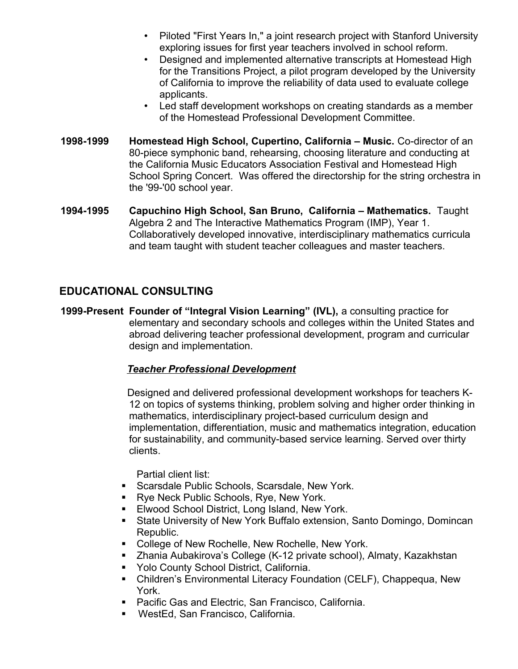- Piloted "First Years In," a joint research project with Stanford University exploring issues for first year teachers involved in school reform.
- Designed and implemented alternative transcripts at Homestead High for the Transitions Project, a pilot program developed by the University of California to improve the reliability of data used to evaluate college applicants.
- Led staff development workshops on creating standards as a member of the Homestead Professional Development Committee.
- **1998-1999 Homestead High School, Cupertino, California Music.** Co-director of an 80-piece symphonic band, rehearsing, choosing literature and conducting at the California Music Educators Association Festival and Homestead High School Spring Concert. Was offered the directorship for the string orchestra in the '99-'00 school year.
- **1994-1995 Capuchino High School, San Bruno, California Mathematics.** Taught Algebra 2 and The Interactive Mathematics Program (IMP), Year 1. Collaboratively developed innovative, interdisciplinary mathematics curricula and team taught with student teacher colleagues and master teachers.

# **EDUCATIONAL CONSULTING**

**1999-Present Founder of "Integral Vision Learning" (IVL),** a consulting practice for elementary and secondary schools and colleges within the United States and abroad delivering teacher professional development, program and curricular design and implementation.

### *Teacher Professional Development*

 Designed and delivered professional development workshops for teachers K-12 on topics of systems thinking, problem solving and higher order thinking in mathematics, interdisciplinary project-based curriculum design and implementation, differentiation, music and mathematics integration, education for sustainability, and community-based service learning. Served over thirty clients.

Partial client list:

- **Scarsdale Public Schools, Scarsdale, New York.**
- **Rye Neck Public Schools, Rye, New York.**
- **Elwood School District, Long Island, New York.**
- State University of New York Buffalo extension, Santo Domingo, Domincan Republic.
- **EXECOLLEGE OF NEW Rochelle, New Rochelle, New York.**
- Zhania Aubakirova's College (K-12 private school), Almaty, Kazakhstan
- **Yolo County School District, California.**
- Children's Environmental Literacy Foundation (CELF), Chappequa, New York.
- **Pacific Gas and Electric, San Francisco, California.**
- WestEd, San Francisco, California.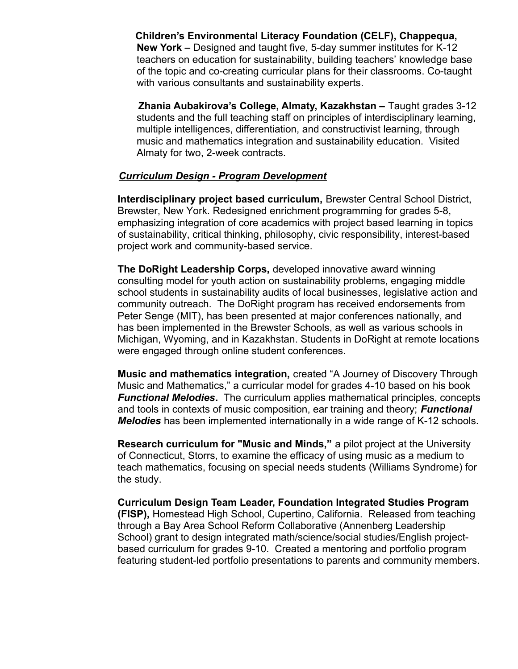**Children's Environmental Literacy Foundation (CELF), Chappequa, New York –** Designed and taught five, 5-day summer institutes for K-12 teachers on education for sustainability, building teachers' knowledge base of the topic and co-creating curricular plans for their classrooms. Co-taught with various consultants and sustainability experts.

 **Zhania Aubakirova's College, Almaty, Kazakhstan –** Taught grades 3-12 students and the full teaching staff on principles of interdisciplinary learning, multiple intelligences, differentiation, and constructivist learning, through music and mathematics integration and sustainability education. Visited Almaty for two, 2-week contracts.

#### *Curriculum Design - Program Development*

 **Interdisciplinary project based curriculum,** Brewster Central School District, Brewster, New York. Redesigned enrichment programming for grades 5-8, emphasizing integration of core academics with project based learning in topics of sustainability, critical thinking, philosophy, civic responsibility, interest-based project work and community-based service.

**The DoRight Leadership Corps,** developed innovative award winning consulting model for youth action on sustainability problems, engaging middle school students in sustainability audits of local businesses, legislative action and community outreach. The DoRight program has received endorsements from Peter Senge (MIT), has been presented at major conferences nationally, and has been implemented in the Brewster Schools, as well as various schools in Michigan, Wyoming, and in Kazakhstan. Students in DoRight at remote locations were engaged through online student conferences.

**Music and mathematics integration,** created "A Journey of Discovery Through Music and Mathematics," a curricular model for grades 4-10 based on his book *Functional Melodies***.** The curriculum applies mathematical principles, concepts and tools in contexts of music composition, ear training and theory; *Functional Melodies* has been implemented internationally in a wide range of K-12 schools.

**Research curriculum for "Music and Minds,"** a pilot project at the University of Connecticut, Storrs, to examine the efficacy of using music as a medium to teach mathematics, focusing on special needs students (Williams Syndrome) for the study.

 **Curriculum Design Team Leader, Foundation Integrated Studies Program (FISP),** Homestead High School, Cupertino, California. Released from teaching through a Bay Area School Reform Collaborative (Annenberg Leadership School) grant to design integrated math/science/social studies/English projectbased curriculum for grades 9-10. Created a mentoring and portfolio program featuring student-led portfolio presentations to parents and community members.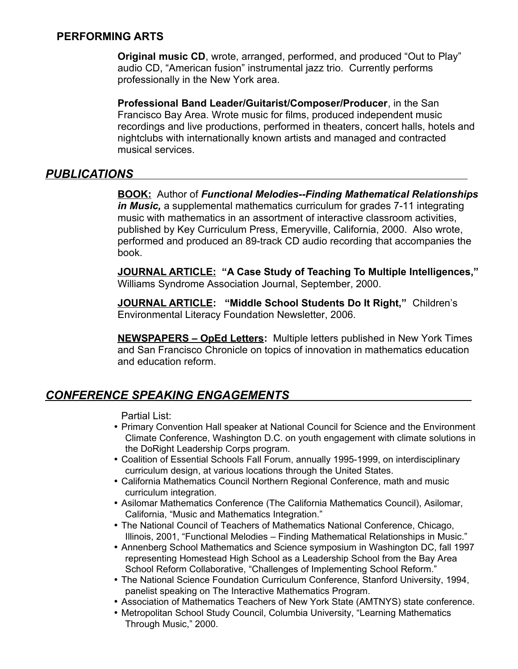### **PERFORMING ARTS**

**Original music CD**, wrote, arranged, performed, and produced "Out to Play" audio CD, "American fusion" instrumental jazz trio. Currently performs professionally in the New York area.

**Professional Band Leader/Guitarist/Composer/Producer**, in the San Francisco Bay Area. Wrote music for films, produced independent music recordings and live productions, performed in theaters, concert halls, hotels and nightclubs with internationally known artists and managed and contracted musical services.

# *PUBLICATIONS*

**BOOK:** Author of *Functional Melodies--Finding Mathematical Relationships in Music,* a supplemental mathematics curriculum for grades 7-11 integrating music with mathematics in an assortment of interactive classroom activities, published by Key Curriculum Press, Emeryville, California, 2000. Also wrote, performed and produced an 89-track CD audio recording that accompanies the book.

**JOURNAL ARTICLE: "A Case Study of Teaching To Multiple Intelligences,"** Williams Syndrome Association Journal, September, 2000.

**JOURNAL ARTICLE: "Middle School Students Do It Right,"** Children's Environmental Literacy Foundation Newsletter, 2006.

**NEWSPAPERS – OpEd Letters:** Multiple letters published in New York Times and San Francisco Chronicle on topics of innovation in mathematics education and education reform.

# *CONFERENCE SPEAKING ENGAGEMENTS*

Partial List:

- Primary Convention Hall speaker at National Council for Science and the Environment Climate Conference, Washington D.C. on youth engagement with climate solutions in the DoRight Leadership Corps program.
- Coalition of Essential Schools Fall Forum, annually 1995-1999, on interdisciplinary curriculum design, at various locations through the United States.
- California Mathematics Council Northern Regional Conference, math and music curriculum integration.
- Asilomar Mathematics Conference (The California Mathematics Council), Asilomar, California, "Music and Mathematics Integration."
- The National Council of Teachers of Mathematics National Conference, Chicago, Illinois, 2001, "Functional Melodies – Finding Mathematical Relationships in Music."
- Annenberg School Mathematics and Science symposium in Washington DC, fall 1997 representing Homestead High School as a Leadership School from the Bay Area School Reform Collaborative, "Challenges of Implementing School Reform."
- The National Science Foundation Curriculum Conference, Stanford University, 1994, panelist speaking on The Interactive Mathematics Program.
- Association of Mathematics Teachers of New York State (AMTNYS) state conference.
- Metropolitan School Study Council, Columbia University, "Learning Mathematics Through Music," 2000.